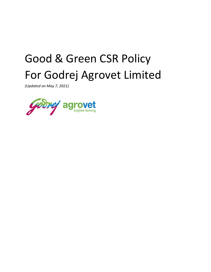# Good & Green CSR Policy For Godrej Agrovet Limited

(Updated on May 7, 2021)

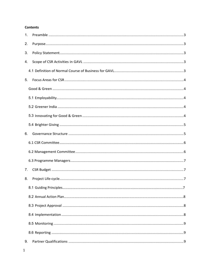## **Contents**

| 1. |  |
|----|--|
| 2. |  |
| 3. |  |
| 4. |  |
|    |  |
| 5. |  |
|    |  |
|    |  |
|    |  |
|    |  |
|    |  |
| 6. |  |
|    |  |
|    |  |
|    |  |
| 7. |  |
| 8. |  |
|    |  |
|    |  |
|    |  |
|    |  |
|    |  |
|    |  |
| 9. |  |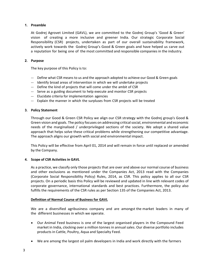## 1. Preamble

At Godrej Agrovet Limited (GAVL), we are committed to the Godrej Group's 'Good & Green' vision of creating a more inclusive and greener India. Our strategic Corporate Social Responsibility (CSR) projects, undertaken as part of our overall sustainability framework, actively work towards the Godrej Group's Good & Green goals and have helped us carve out a reputation for being one of the most committed and responsible companies in the industry.

## 2. Purpose

The key purpose of this Policy is to:

- --- Define what CSR means to us and the approach adopted to achieve our Good & Green goals
- --- Identify broad areas of intervention in which we will undertake projects
- --- Define the kind of projects that will come under the ambit of CSR
- --- Serve as a guiding document to help execute and monitor CSR projects
- --- Elucidate criteria for implementation agencies
- --- Explain the manner in which the surpluses from CSR projects will be treated

## 3. Policy Statement

Through our Good & Green CSR Policy we align our CSR strategy with the Godrej group's Good & Green vision and goals. The policy focuses on addressing critical social, environmental and economic needs of the marginalised / underprivileged sections of the society. We adopt a shared value approach that helps solve these critical problems while strengthening our competitive advantage. The approach aligns our growth with social and environmental impact.

This Policy will be effective from April 01, 2014 and will remain in force until replaced or amended by the Company.

## 4. Scope of CSR Activities in GAVL

As a practice, we classify only those projects that are over and above our normal course of business and other exclusions as mentioned under the Companies Act, 2013 read with the Companies (Corporate Social Responsibility Policy) Rules, 2014, as CSR. This policy applies to all our CSR projects. On a periodic basis this Policy will be reviewed and updated in line with relevant codes of corporate governance, international standards and best practices. Furthermore, the policy also fulfills the requirements of the CSR rules as per Section 135 of the Companies Act, 2013.

## Definition of Normal Course of Business for GAVL

We are a diversified agribusiness company and are amongst the market leaders in many of the different businesses in which we operate.

- Our Animal Feed business is one of the largest organised players in the Compound Feed market in India, clocking over a million tonnes in annual sales. Our diverse portfolio includes products in Cattle, Poultry, Aqua and Specialty Feed.
- We are among the largest oil palm developers in India and work directly with the farmers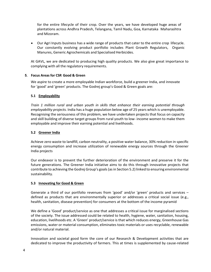for the entire lifecycle of their crop. Over the years, we have developed huge areas of plantations across Andhra Pradesh, Telangana, Tamil Nadu, Goa, Karnataka Maharashtra and Mizoram.

 Our Agri Inputs business has a wide range of products that cater to the entire crop lifecycle. Our constantly evolving product portfolio includes Plant Growth Regulators, Organic Manures, Generic Agrochemicals and Specialised Herbicides.

At GAVL, we are dedicated to producing high quality products. We also give great importance to complying with all the regulatory requirements.

## 5. Focus Areas for CSR Good & Green

We aspire to create a more employable Indian workforce, build a greener India, and innovate for 'good' and 'green' products. The Godrej group's Good & Green goals are:

## 5.1 Employability

Train 1 million rural and urban youth in skills that enhance their earning potential through employability projects. India has a huge population below age of 25 years which is unemployable. Recognising the seriousness of this problem, we have undertaken projects that focus on capacity and skill building of diverse target groups from rural youth to low- income women to make them employable and improve their earning potential and livelihoods.

## 5.2 Greener India

Achieve zero waste to landfill, carbon neutrality, a positive water balance, 30% reduction in specific energy consumption and increase utilization of renewable energy sources through the Greener India projects

Our endeavor is to prevent the further deterioration of the environment and preserve it for the future generations. The Greener India initiative aims to do this through innovative projects that contribute to achieving the Godrej Group's goals (as in Section 5.2) linked to ensuring environmental sustainability.

## 5.3 Innovating for Good & Green

Generate a third of our portfolio revenues from 'good' and/or 'green' products and services – defined as products that are environmentally superior or addresses a critical social issue (e.g., health, sanitation, disease prevention) for consumers at the bottom of the income pyramid

We define a 'Good' product/service as one that addresses a critical issue for marginalised sections of the society. The issue addressed could be related to health, hygiene, water, sanitation, housing, education, livelihoods etc. A 'Green' product/service is that which reduces energy, Greenhouse Gas emissions, water or material consumption, eliminates toxic materials or uses recyclable, renewable and/or natural material.

Innovation and societal good form the core of our Research & Development activities that are dedicated to improve the productivity of farmers. This at times is supplemented by cause-related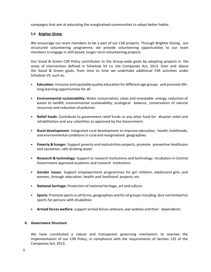campaigns that aim at educating the marginalised communities to adopt better habits.

# 5.4 Brighter Giving

We encourage our team members to be a part of our CSR projects. Through Brighter Giving, our structured volunteering programme, we provide volunteering opportunities to our team members to engage in skill-based, longer-term volunteering projects.

Our Good & Green CSR Policy contributes to the Group-wide goals by adopting projects in the campaigns that aim at educating the marginalised communities to adopt better habits.<br>
5.4 Brighter Giving<br>
We encourage our team members to be a part of our CSR projects. Through Brighter Giving, our<br>
structured volunteeri the Good & Green goals, from time to time we undertake additional CSR activities under Schedule VII, such as:

- Education: Inclusive and equitable quality education for different age groups and promote lifelong learning opportunities for all
- Environmental sustainability: Water conservation, clean and renewable energy, reduction of waste to landfill, environmental sustainability, ecological balance, conservation of natural resources and reduction of pollution
- Relief funds: Contribute to government relief funds or any other fund for disaster relief and rehabilitation and any calamities as approved by the Government.
- Rural development: Integrated rural development to improve education, health, livelihoods, and environmental conditions in rural and marginalised geographies
- Poverty & hunger: Support poverty and malnutrition projects, promote preventive healthcare and sanitation, safe drinking water
- Research & technology: Support to research institutions and technology incubators in Central Government approved academic and research institutions
- Gender issues: Support empowerment programmes for girl children, adolescent girls, and women, through education, health and livelihood projects, etc.
- National heritage: Protection of national heritage, art and culture
- Sports: Promote sports in all forms, geographies and for all groups including (but not limited to) sports for persons with disabilities
- Armed forces welfare: support armed forces veterans, war widows and their dependents

## 6. Governance Structure

We have constituted a robust and transparent governing mechanism to oversee the implementation of our CSR Policy, in compliance with the requirements of Section 135 of the Companies Act, 2013.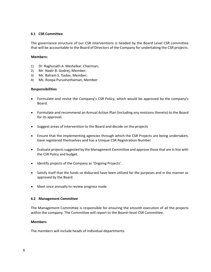## 6.1 CSR Committee

The governance structure of our CSR interventions is headed by the Board Level CSR committee that will be accountable to the Board of Directors of the Company for undertaking the CSR projects.

## Members:

- 1) Dr. Raghunath A. Mashelkar, Chairman;
- 2) Mr. Nadir B. Godrej, Member;
- 3) Mr. Balram S. Yadav, Member;
- 4) Ms. Roopa Purushothaman, Member

## Responsibilities

- Formulate and revise the Company's CSR Policy, which would be approved by the company's Board.
- Formulate and recommend an Annual Action Plan (including any revisions thereto) to the Board for its approval.
- Suggest areas of intervention to the Board and decide on the projects
- Ensure that the implementing agencies through which the CSR Projects are being undertaken, have registered themselves and has a Unique CSR Registration Number
- Evaluate projects suggested by the Management Committee and approve those that are in line with the CSR Policy and budget.
- Identify projects of the Company as 'Ongoing Projects'.
- Satisfy itself that the funds so disbursed have been utilized for the purposes and in the manner as approved by the Board.
- Meet once annually to review progress made

#### 6.2 Management Committee

The Management Committee is responsible for ensuring the smooth execution of all the projects within the company. The Committee will report to the Board–level CSR Committee.

#### **Members**

The members will include heads of individual departments.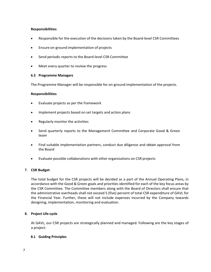# Responsibilities

- Responsible for the execution of the decisions taken by the Board-level CSR Committees
- Ensure on-ground implementation of projects
- Send periodic reports to the Board-level CSR Committee
- Meet every quarter to review the progress

## 6.3 Programme Managers

The Programme Manager will be responsible for on-ground implementation of the projects.

## Responsibilities

- Evaluate projects as per the framework
- Implement projects based on set targets and action plans
- Regularly monitor the activities
- Send quarterly reports to the Management Committee and Corporate Good & Green team
- Find suitable implementation partners, conduct due diligence and obtain approval from the Board
- Evaluate possible collaborations with other organizations on CSR projects

## 7. CSR Budget

The total budget for the CSR projects will be decided as a part of the Annual Operating Plans, in accordance with the Good & Green goals and priorities identified for each of the key focus areas by the CSR Committee. The Committee members along with the Board of Directors shall ensure that the administrative overheads shall not exceed 5 (five) percent of total CSR expenditure of GAVL for the Financial Year. Further, these will not include expenses incurred by the Company towards designing, implementation, monitoring and evaluation.

## 8. Project Life-cycle

At GAVL, our CSR projects are strategically planned and managed. Following are the key stages of a project:

## 8.1 Guiding Principles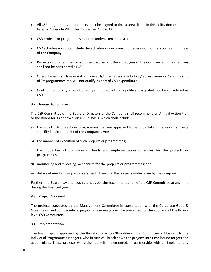- All CSR programmes and projects must be aligned to thrust areas listed in this Policy document and listed in Schedule VII of the Companies Act, 2013.
- CSR projects or programmes must be undertaken in India alone.
- CSR activities must not include the activities undertaken in pursuance of normal course of business of the Company
- Projects or programmes or activities that benefit the employees of the Company and their families shall not be considered as CSR.
- One-off events such as marathons/awards/ charitable contribution/ advertisements / sponsorship of TV programmes etc. will not qualify as part of CSR expenditure.
- Contribution of any amount directly or indirectly to any political party shall not be considered as CSR.

## 8.2 Annual Action Plan

The CSR Committee of the Board of Directors of the Company shall recommend an Annual Action Plan to the Board for its approval on annual basis, which shall include:

- a) the list of CSR projects or programmes that are approved to be undertaken in areas or subjects specified in Schedule VII of the Companies Act;
- b) the manner of execution of such projects or programmes;
- c) the modalities of utilisation of funds and implementation schedules for the projects or programmes;
- d) monitoring and reporting mechanism for the projects or programmes; and
- e) details of need and impact assessment, if any, for the projects undertaken by the company.

Further, the Board may alter such plans as per the recommendation of the CSR Committee at any time during the financial year.

#### 8.3 Project Approval

The projects suggested by the Management Committee in consultation with the Corporate Good & Green team and company-level programme managers will be presented for the approval of the Boardlevel CSR Committee.

#### 8.4 Implementation

The final projects approved by the Board of Directors/Board-level CSR Committee will be sent to the individual Programme Managers, who in turn will break down the projects into time-bound targets and action plans. These projects will either be self-implemented, in partnership with an Implementing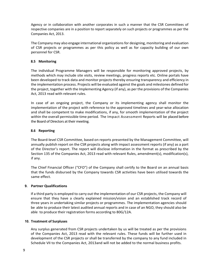Agency or in collaboration with another corporates in such a manner that the CSR Committees of respective companies are in a position to report separately on such projects or programmes as per the Companies Act, 2013.

The Company may also engage international organizations for designing, monitoring and evaluation of CSR projects or programmes as per this policy as well as for capacity building of our own personnel for CSR.

# 8.5 Monitoring

The individual Programme Managers will be responsible for monitoring approved projects, by methods which may include site visits, review meetings, progress reports etc. Online portals have been developed to track data and monitor projects thereby ensuring transparency and efficiency in the implementation process. Projects will be evaluated against the goals and milestones defined for the project, together with the Implementing Agency (if any), as per the provisions of the Companies Act, 2013 read with relevant rules.

In case of an ongoing project, the Company or its implementing agency shall monitor the implementation of the project with reference to the approved timelines and year-wise allocation and shall be competent to make modifications, if any, for smooth implementation of the project within the overall permissible time period. The Impact Assessment Reports will be placed before the Board of Directors at their meeting.

# 8.6 Reporting

The Board-level CSR Committee, based on reports presented by the Management Committee, will annually publish report on the CSR projects along with impact assessment reports (if any) as a part of the Director's report. The report will disclose information in the format as prescribed by the Section 135 of the Companies Act, 2013 read with relevant Rules, amendment(s), modification(s), if any.

The Chief Financial Officer ("CFO") of the Company shall certify to the Board on an annual basis that the funds disbursed by the Company towards CSR activities have been utilised towards the same effect.

## 9. Partner Qualifications

If a third party is employed to carry out the implementation of our CSR projects, the Company will ensure that they have a clearly explained mission/vision and an established track record of three years in undertaking similar projects or programmes. The implementation agencies should be able to produce their latest audited annual reports and in case of an NGO, they should also be able to produce their registration forms according to 80G/12A.

## 10. Treatment of Surpluses

Any surplus generated from CSR projects undertaken by us will be treated as per the provisions of the Companies Act, 2013 read with the relevant rules. These funds will be further used in development of the CSR projects or shall be transferred by the company to any fund included in Schedule VII to the Companies Act, 2013and will not be added to the normal business profits.